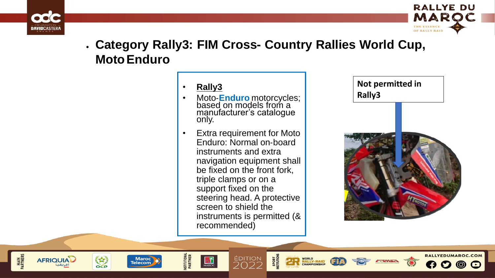

**MAIN<br>PARTNERS** 

**AFRIQUIAL** 

3

**OCP** 

**Maroc Telecom** 



RALLYEDUMAROC.COM

 $\odot$ 

# • **Category Rally3: FIM Cross- Country Rallies World Cup, MotoEnduro**

### • **Rally3**

**NSTITUTIONAL**<br>PARTNER

- Moto-**Enduro** motorcycles; based on models from a manufacturer's catalogue only.
- Extra requirement for Moto Enduro: Normal on‐board instruments and extra navigation equipment shall be fixed on the front fork, triple clamps or on a support fixed on the steering head. A protective screen to shield the instruments is permitted (& recommended)

ÉDITION

つのつつ

WORLD<br>RALLY-RAID<br>CHAMPIONSHIP

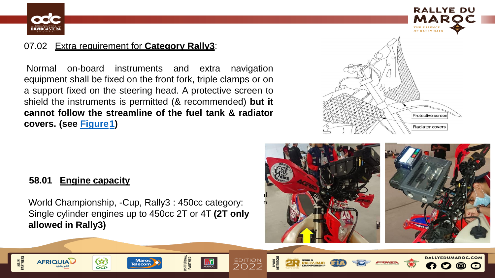

**MAIN<br>RTNERS** 

**AFRIQUIA** 



RALLYEDUMAROC.COM

## 07.02 Extra requirement for **Category Rally3**:

Normal on-board instruments and extra navigation equipment shall be fixed on the front fork, triple clamps or on a support fixed on the steering head. A protective screen to shield the instruments is permitted (& recommended) **but it cannot follow the streamline of the fuel tank & radiator covers. (see Figure1)**



#### **58.01 Engine capacity**

**CEP** 

World Championship, -Cup, Rally3 : 450cc category: Single cylinder engines up to 450cc 2T or 4T **(2T only allowed in Rally3)**

> **Maroc Telecom**

**ISTITUTIONAL**<br>PARTNER

ÉDITION

WORLD<br>RALLY-RAID<br>CHAMPIONSHIP

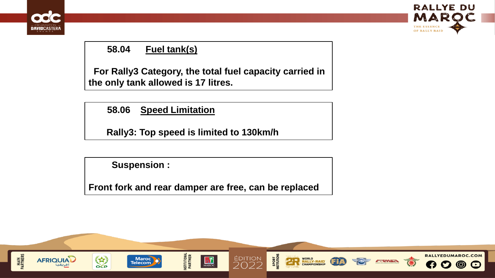



## **58.04 Fuel tank(s)**

**For Rally3 Category, the total fuel capacity carried in the only tank allowed is 17 litres.**

**58.06 Speed Limitation**

**Rally3: Top speed is limited to 130km/h**

**Suspension :** 

**Front fork and rear damper are free, can be replaced**